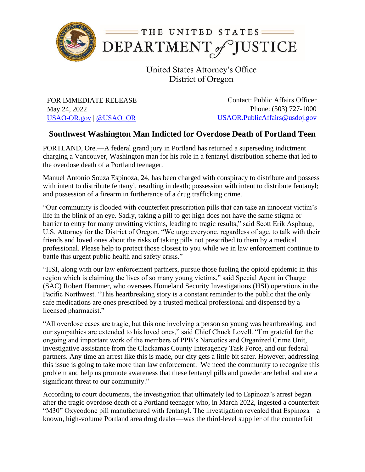

United States Attorney's Office District of Oregon

FOR IMMEDIATE RELEASE May 24, 2022 [USAO-OR.gov](http://www.usdoj.gov/usao/or) | [@USAO\\_OR](https://twitter.com/USAO_OR)

Contact: Public Affairs Officer Phone: (503) 727-1000 [USAOR.PublicAffairs@usdoj.gov](mailto:usaor.publicaffairs@usdoj.gov)

## **Southwest Washington Man Indicted for Overdose Death of Portland Teen**

PORTLAND, Ore.—A federal grand jury in Portland has returned a superseding indictment charging a Vancouver, Washington man for his role in a fentanyl distribution scheme that led to the overdose death of a Portland teenager.

Manuel Antonio Souza Espinoza, 24, has been charged with conspiracy to distribute and possess with intent to distribute fentanyl, resulting in death; possession with intent to distribute fentanyl; and possession of a firearm in furtherance of a drug trafficking crime.

"Our community is flooded with counterfeit prescription pills that can take an innocent victim's life in the blink of an eye. Sadly, taking a pill to get high does not have the same stigma or barrier to entry for many unwitting victims, leading to tragic results," said Scott Erik Asphaug, U.S. Attorney for the District of Oregon. "We urge everyone, regardless of age, to talk with their friends and loved ones about the risks of taking pills not prescribed to them by a medical professional. Please help to protect those closest to you while we in law enforcement continue to battle this urgent public health and safety crisis."

"HSI, along with our law enforcement partners, pursue those fueling the opioid epidemic in this region which is claiming the lives of so many young victims," said Special Agent in Charge (SAC) Robert Hammer, who oversees Homeland Security Investigations (HSI) operations in the Pacific Northwest. "This heartbreaking story is a constant reminder to the public that the only safe medications are ones prescribed by a trusted medical professional and dispensed by a licensed pharmacist."

"All overdose cases are tragic, but this one involving a person so young was heartbreaking, and our sympathies are extended to his loved ones," said Chief Chuck Lovell. "I'm grateful for the ongoing and important work of the members of PPB's Narcotics and Organized Crime Unit, investigative assistance from the Clackamas County Interagency Task Force, and our federal partners. Any time an arrest like this is made, our city gets a little bit safer. However, addressing this issue is going to take more than law enforcement. We need the community to recognize this problem and help us promote awareness that these fentanyl pills and powder are lethal and are a significant threat to our community."

According to court documents, the investigation that ultimately led to Espinoza's arrest began after the tragic overdose death of a Portland teenager who, in March 2022, ingested a counterfeit "M30" Oxycodone pill manufactured with fentanyl. The investigation revealed that Espinoza—a known, high-volume Portland area drug dealer—was the third-level supplier of the counterfeit